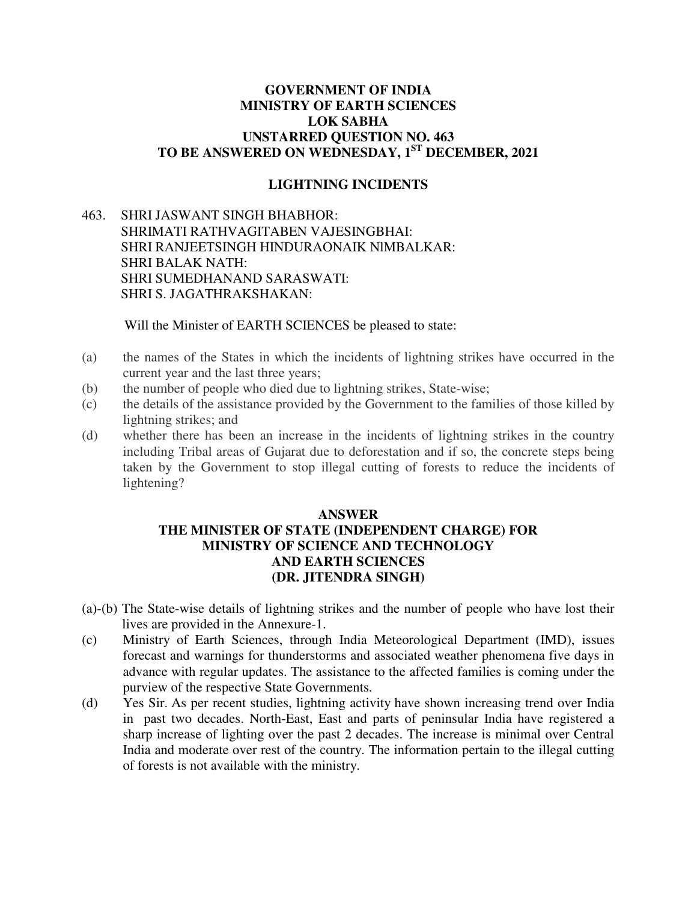## **GOVERNMENT OF INDIA MINISTRY OF EARTH SCIENCES LOK SABHA UNSTARRED QUESTION NO. 463 TO BE ANSWERED ON WEDNESDAY, 1ST DECEMBER, 2021**

## **LIGHTNING INCIDENTS**

463. SHRI JASWANT SINGH BHABHOR: SHRIMATI RATHVAGITABEN VAJESINGBHAI: SHRI RANJEETSINGH HINDURAONAIK NlMBALKAR: SHRI BALAK NATH: SHRI SUMEDHANAND SARASWATI: SHRI S. JAGATHRAKSHAKAN:

Will the Minister of EARTH SCIENCES be pleased to state:

- (a) the names of the States in which the incidents of lightning strikes have occurred in the current year and the last three years;
- (b) the number of people who died due to lightning strikes, State-wise;
- (c) the details of the assistance provided by the Government to the families of those killed by lightning strikes; and
- (d) whether there has been an increase in the incidents of lightning strikes in the country including Tribal areas of Gujarat due to deforestation and if so, the concrete steps being taken by the Government to stop illegal cutting of forests to reduce the incidents of lightening?

## **ANSWER THE MINISTER OF STATE (INDEPENDENT CHARGE) FOR MINISTRY OF SCIENCE AND TECHNOLOGY AND EARTH SCIENCES (DR. JITENDRA SINGH)**

- (a)-(b) The State-wise details of lightning strikes and the number of people who have lost their lives are provided in the Annexure-1.
- (c) Ministry of Earth Sciences, through India Meteorological Department (IMD), issues forecast and warnings for thunderstorms and associated weather phenomena five days in advance with regular updates. The assistance to the affected families is coming under the purview of the respective State Governments.
- (d) Yes Sir. As per recent studies, lightning activity have shown increasing trend over India in past two decades. North-East, East and parts of peninsular India have registered a sharp increase of lighting over the past 2 decades. The increase is minimal over Central India and moderate over rest of the country. The information pertain to the illegal cutting of forests is not available with the ministry.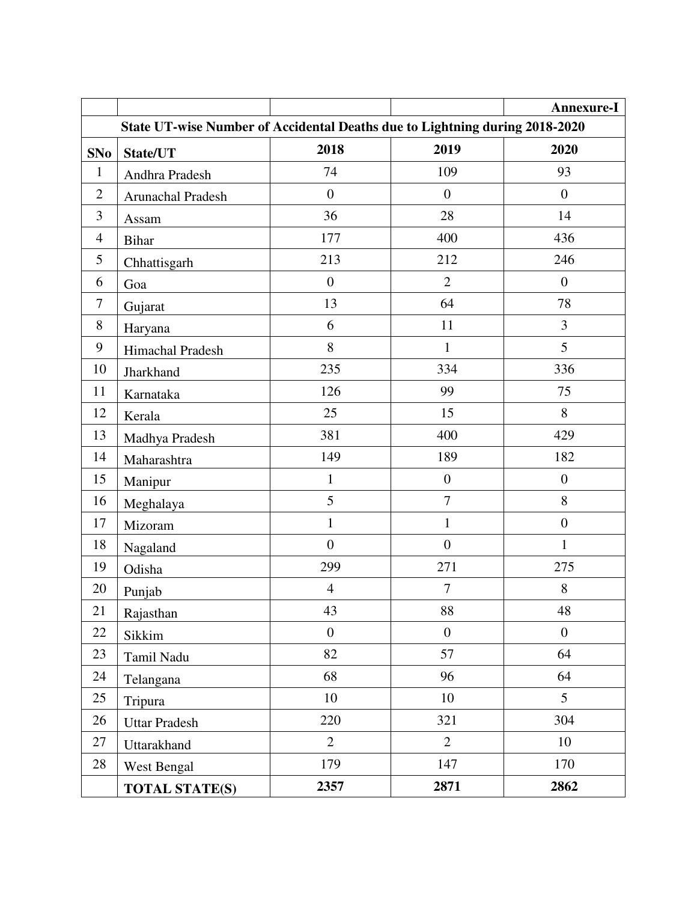|                                                                             |                       |                  |                  | <b>Annexure-I</b> |  |  |
|-----------------------------------------------------------------------------|-----------------------|------------------|------------------|-------------------|--|--|
| State UT-wise Number of Accidental Deaths due to Lightning during 2018-2020 |                       |                  |                  |                   |  |  |
| <b>SNo</b>                                                                  | State/UT              | 2018             | 2019             | 2020              |  |  |
| $\mathbf{1}$                                                                | Andhra Pradesh        | 74               | 109              | 93                |  |  |
| $\overline{2}$                                                              | Arunachal Pradesh     | $\boldsymbol{0}$ | $\overline{0}$   | $\boldsymbol{0}$  |  |  |
| 3                                                                           | Assam                 | 36               | 28               | 14                |  |  |
| $\overline{4}$                                                              | <b>Bihar</b>          | 177              | 400              | 436               |  |  |
| 5                                                                           | Chhattisgarh          | 213              | 212              | 246               |  |  |
| 6                                                                           | Goa                   | $\boldsymbol{0}$ | $\overline{2}$   | $\boldsymbol{0}$  |  |  |
| $\overline{7}$                                                              | Gujarat               | 13               | 64               | 78                |  |  |
| 8                                                                           | Haryana               | 6                | 11               | 3                 |  |  |
| 9                                                                           | Himachal Pradesh      | 8                | $\mathbf{1}$     | 5                 |  |  |
| 10                                                                          | Jharkhand             | 235              | 334              | 336               |  |  |
| 11                                                                          | Karnataka             | 126              | 99               | 75                |  |  |
| 12                                                                          | Kerala                | 25               | 15               | 8                 |  |  |
| 13                                                                          | Madhya Pradesh        | 381              | 400              | 429               |  |  |
| 14                                                                          | Maharashtra           | 149              | 189              | 182               |  |  |
| 15                                                                          | Manipur               | $\mathbf{1}$     | $\boldsymbol{0}$ | $\boldsymbol{0}$  |  |  |
| 16                                                                          | Meghalaya             | 5                | $\overline{7}$   | 8                 |  |  |
| 17                                                                          | Mizoram               | $\mathbf{1}$     | $\mathbf{1}$     | $\boldsymbol{0}$  |  |  |
| 18                                                                          | Nagaland              | $\overline{0}$   | $\overline{0}$   | $\mathbf{1}$      |  |  |
| 19                                                                          | Odisha                | 299              | 271              | 275               |  |  |
| 20                                                                          | Punjab                | $\overline{4}$   | $\boldsymbol{7}$ | $8\,$             |  |  |
| 21                                                                          | Rajasthan             | 43               | 88               | 48                |  |  |
| $22\,$                                                                      | Sikkim                | $\boldsymbol{0}$ | $\boldsymbol{0}$ | $\boldsymbol{0}$  |  |  |
| 23                                                                          | Tamil Nadu            | 82               | 57               | 64                |  |  |
| 24                                                                          | Telangana             | 68               | 96               | 64                |  |  |
| 25                                                                          | Tripura               | 10               | 10               | 5                 |  |  |
| 26                                                                          | <b>Uttar Pradesh</b>  | 220              | 321              | 304               |  |  |
| 27                                                                          | Uttarakhand           | $\overline{2}$   | $\overline{2}$   | 10                |  |  |
| 28                                                                          | West Bengal           | 179              | 147              | 170               |  |  |
|                                                                             | <b>TOTAL STATE(S)</b> | 2357             | 2871             | 2862              |  |  |